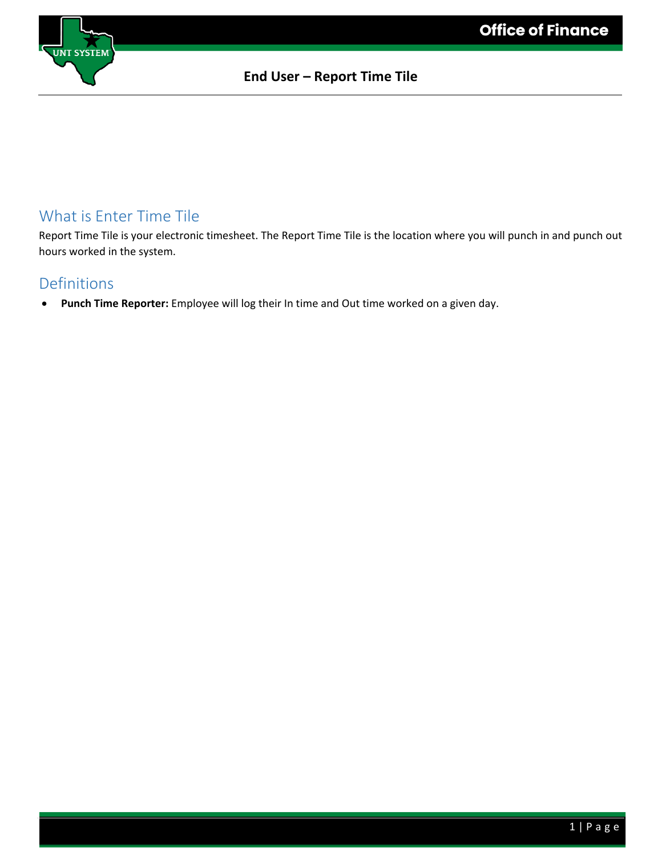

## What is Enter Time Tile

Report Time Tile is your electronic timesheet. The Report Time Tile is the location where you will punch in and punch out hours worked in the system.

#### Definitions

• **Punch Time Reporter:** Employee will log their In time and Out time worked on a given day.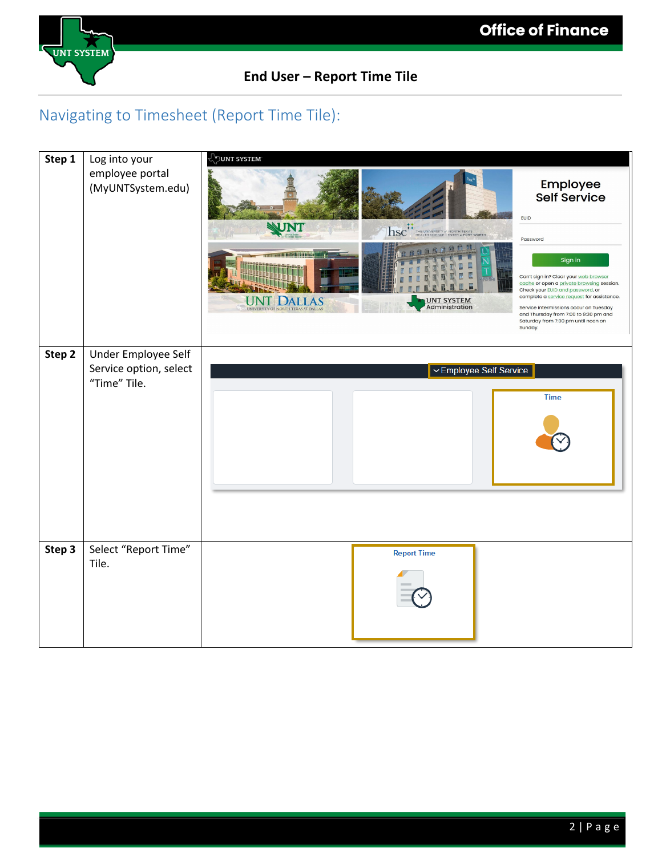

# Navigating to Timesheet (Report Time Tile):

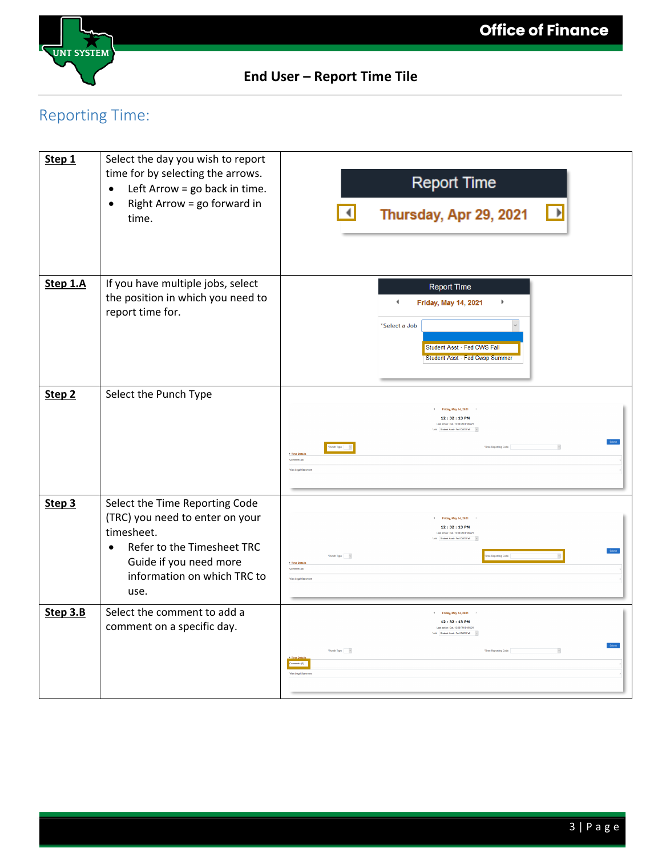

# Reporting Time:

| Step 1            | Select the day you wish to report<br>time for by selecting the arrows.<br>Left Arrow = go back in time.<br>$\bullet$<br>Right Arrow = go forward in<br>$\bullet$<br>time.                   | <b>Report Time</b><br>$\blacktriangleleft$<br>$\rightarrow$<br>Thursday, Apr 29, 2021                                                                                                                                                  |
|-------------------|---------------------------------------------------------------------------------------------------------------------------------------------------------------------------------------------|----------------------------------------------------------------------------------------------------------------------------------------------------------------------------------------------------------------------------------------|
| Step 1.A          | If you have multiple jobs, select<br>the position in which you need to<br>report time for.                                                                                                  | <b>Report Time</b><br>$\blacktriangleleft$<br>$\blacktriangleright$<br><b>Friday, May 14, 2021</b><br>*Select a Job<br>Student Asst - Fed CWS Fall<br>Student Asst - Fed Cwsp Summer                                                   |
| Step <sub>2</sub> | Select the Punch Type                                                                                                                                                                       | 4 Friday, May 14, 2021<br>12:32:13 PM<br>Last action: Out. 12:00 PM 01/08/21<br>'Job Student Asst - Fed CWS Fall -<br>$\sim$<br>+ Time Detail<br>Comments (0)<br><b>View Legal Statement</b>                                           |
| Step <sub>3</sub> | Select the Time Reporting Code<br>(TRC) you need to enter on your<br>timesheet.<br>Refer to the Timesheet TRC<br>$\bullet$<br>Guide if you need more<br>information on which TRC to<br>use. | 4 Friday, May 14, 2021<br>12:32:13 PM<br>Last action: Out, 12:00 PM 01/08/21<br>Job Budent Asst - Fed CWS Fall - v<br>"Panch Type $\qquad \times$<br>e Reporting Code<br>> Time Details<br>Commerts (0)<br><b>View Legal Statement</b> |
| Step 3.B          | Select the comment to add a<br>comment on a specific day.                                                                                                                                   | 4 Friday, May 14, 2021<br>12:32:13 PM<br>Last action: Out. 12:00 PM 01/05/21<br>Job Bodent Asst - Fed CWS Fall -<br>Pinch Type $\ \cdot\ $ is:<br>'Time Reporting Code<br>$\mathbf{r}$<br><b>View Legal States</b>                     |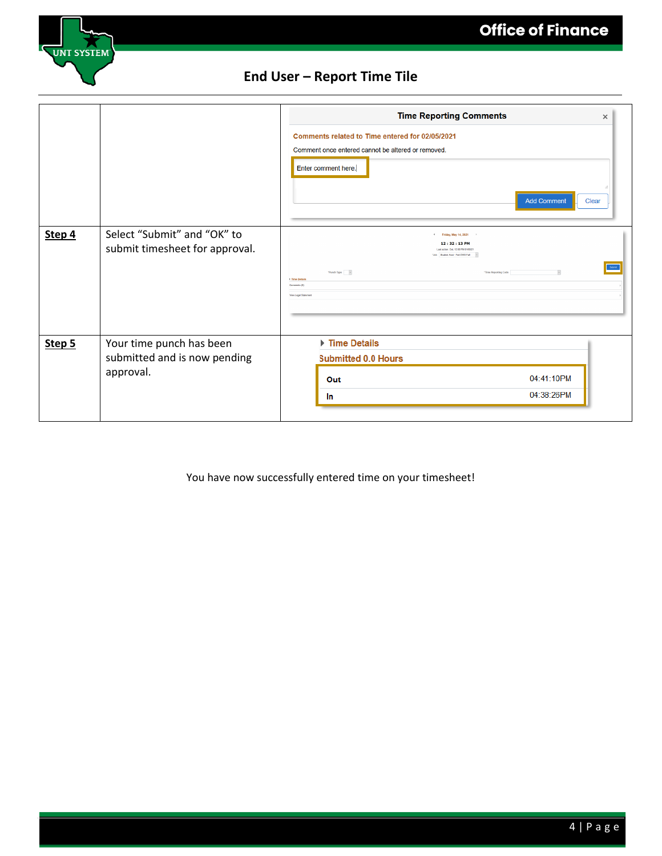

|        |                                                                       | <b>Time Reporting Comments</b><br>$\times$<br>Comments related to Time entered for 02/05/2021<br>Comment once entered cannot be altered or removed.<br>Enter comment here.<br><b>Add Comment</b><br><b>Clear</b>                                                 |
|--------|-----------------------------------------------------------------------|------------------------------------------------------------------------------------------------------------------------------------------------------------------------------------------------------------------------------------------------------------------|
| Step 4 | Select "Submit" and "OK" to<br>submit timesheet for approval.         | 4 Friday, May 14, 2021<br>12:32:13 PM<br>Last action: Out. 12:00 PM 01/08/2<br>Job Student Asst - Fed CWS Fall<br>Submit<br>$\vert\,$<br>"Panch Type $\ \cdot\ $<br>"Time Reporting Code<br><b>1 Time Details</b><br>Commerts (0)<br><b>View Legal Statement</b> |
| Step 5 | Your time punch has been<br>submitted and is now pending<br>approval. | Time Details<br><b>Submitted 0.0 Hours</b><br>04:41:10PM<br>Out<br>04:38:26PM<br>In                                                                                                                                                                              |

You have now successfully entered time on your timesheet!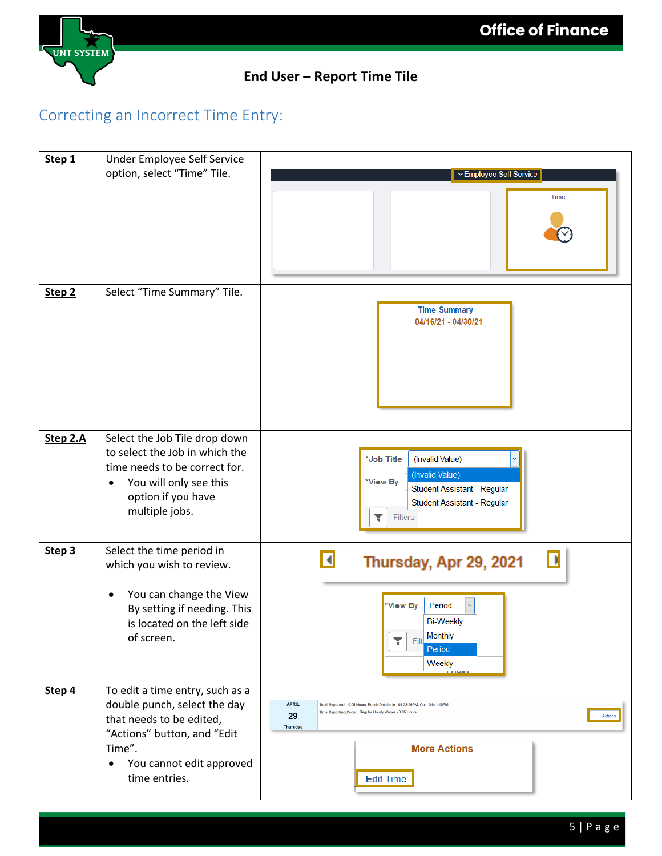

# Correcting an Incorrect Time Entry:

| Step 1            | Under Employee Self Service                                                                                                                                                                    |                                                                                                                                                                                                                                       |
|-------------------|------------------------------------------------------------------------------------------------------------------------------------------------------------------------------------------------|---------------------------------------------------------------------------------------------------------------------------------------------------------------------------------------------------------------------------------------|
|                   | option, select "Time" Tile.                                                                                                                                                                    | ▽ Employee Self Service<br><b>Time</b>                                                                                                                                                                                                |
| Step <sub>2</sub> | Select "Time Summary" Tile.                                                                                                                                                                    | <b>Time Summary</b><br>04/16/21 - 04/30/21                                                                                                                                                                                            |
| Step 2.A          | Select the Job Tile drop down<br>to select the Job in which the<br>time needs to be correct for.<br>You will only see this<br>$\bullet$<br>option if you have<br>multiple jobs.                | *Job Title<br>(Invalid Value)<br>(Invalid Value)<br>*View By<br>Student Assistant - Regular<br>Student Assistant - Regular<br>۳<br>Filters                                                                                            |
| Step 3            | Select the time period in<br>which you wish to review.<br>You can change the View<br>٠<br>By setting if needing. This<br>is located on the left side<br>of screen.                             | Thursday, Apr 29, 2021<br>*View By<br>Period<br><b>Bi-Weekly</b><br>Monthly<br>۲<br>Filt.<br>Period<br>Weekly<br><b>TTMAY</b>                                                                                                         |
| Step 4            | To edit a time entry, such as a<br>double punch, select the day<br>that needs to be edited,<br>"Actions" button, and "Edit<br>Time".<br>You cannot edit approved<br>$\bullet$<br>time entries. | <b>APRIL</b><br>Total Reported: 0.05 Hours, Punch Details: In - 04:38:26PM, Out - 04:41:10PM<br>Time Reporting Code: Regular Hourly Wages - 0.05 Hours<br>29<br>Actions<br><b>Thursday</b><br><b>More Actions</b><br><b>Edit Time</b> |